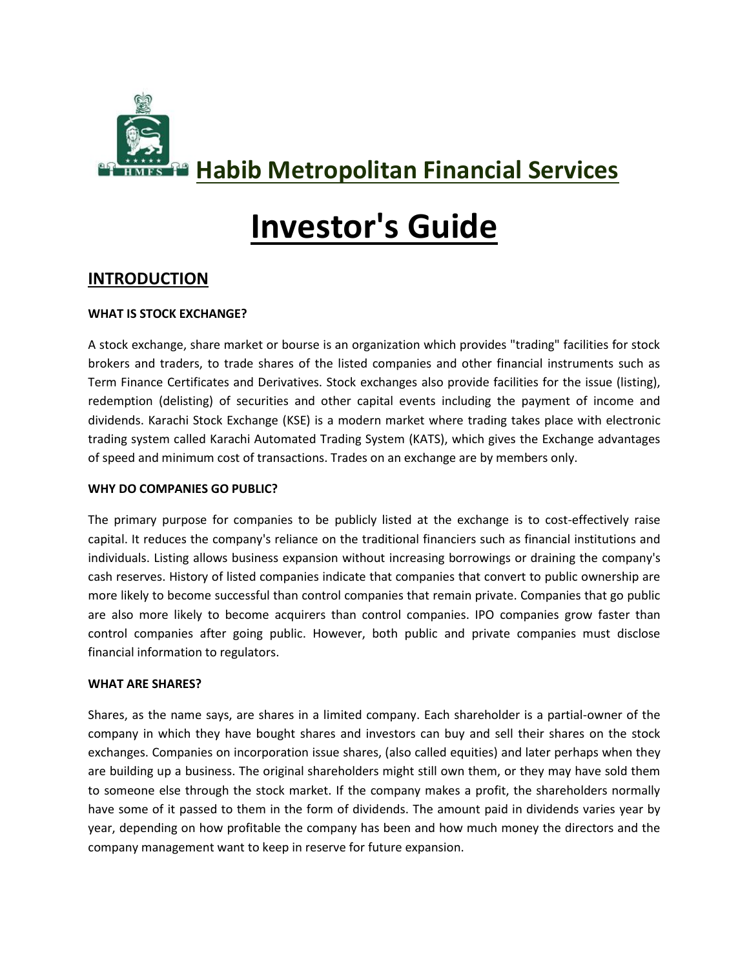

## **Habib Metropolitan Financial Services**

# **Investor's Guide**

## **INTRODUCTION**

#### **WHAT IS STOCK EXCHANGE?**

A stock exchange, share market or bourse is an organization which provides "trading" facilities for stock brokers and traders, to trade shares of the listed companies and other financial instruments such as Term Finance Certificates and Derivatives. Stock exchanges also provide facilities for the issue (listing), redemption (delisting) of securities and other capital events including the payment of income and dividends. Karachi Stock Exchange (KSE) is a modern market where trading takes place with electronic trading system called Karachi Automated Trading System (KATS), which gives the Exchange advantages of speed and minimum cost of transactions. Trades on an exchange are by members only.

#### **WHY DO COMPANIES GO PUBLIC?**

The primary purpose for companies to be publicly listed at the exchange is to cost-effectively raise capital. It reduces the company's reliance on the traditional financiers such as financial institutions and individuals. Listing allows business expansion without increasing borrowings or draining the company's cash reserves. History of listed companies indicate that companies that convert to public ownership are more likely to become successful than control companies that remain private. Companies that go public are also more likely to become acquirers than control companies. IPO companies grow faster than control companies after going public. However, both public and private companies must disclose financial information to regulators.

#### **WHAT ARE SHARES?**

Shares, as the name says, are shares in a limited company. Each shareholder is a partial-owner of the company in which they have bought shares and investors can buy and sell their shares on the stock exchanges. Companies on incorporation issue shares, (also called equities) and later perhaps when they are building up a business. The original shareholders might still own them, or they may have sold them to someone else through the stock market. If the company makes a profit, the shareholders normally have some of it passed to them in the form of dividends. The amount paid in dividends varies year by year, depending on how profitable the company has been and how much money the directors and the company management want to keep in reserve for future expansion.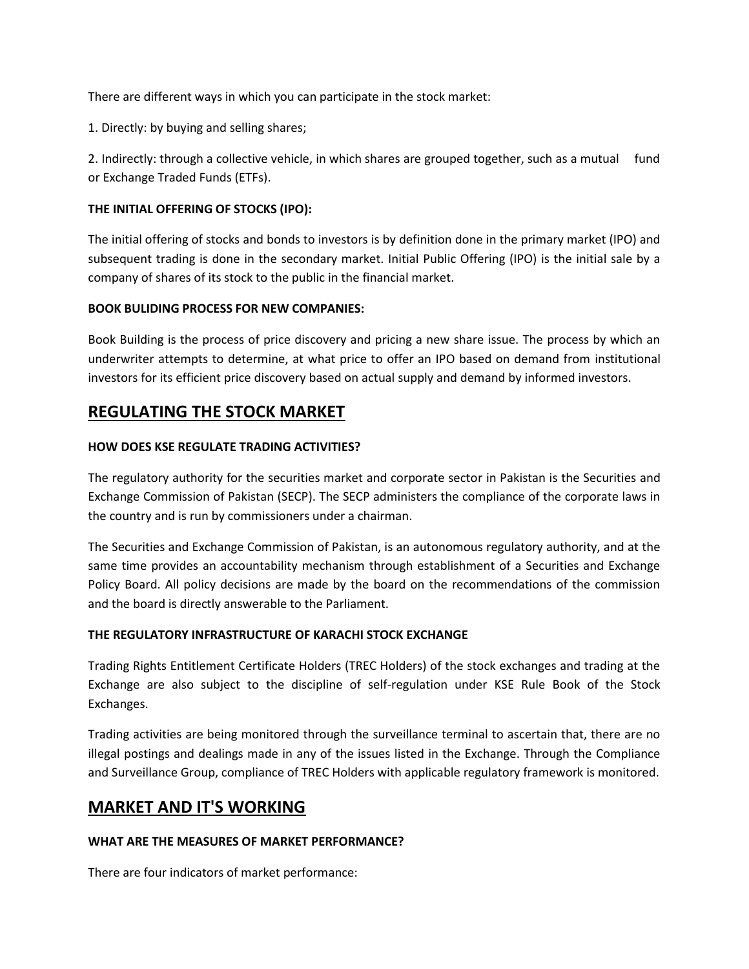There are different ways in which you can participate in the stock market:

1. Directly: by buying and selling shares;

2. Indirectly: through a collective vehicle, in which shares are grouped together, such as a mutual fund or Exchange Traded Funds (ETFs).

#### **THE INITIAL OFFERING OF STOCKS (IPO):**

The initial offering of stocks and bonds to investors is by definition done in the primary market (IPO) and subsequent trading is done in the secondary market. Initial Public Offering (IPO) is the initial sale by a company of shares of its stock to the public in the financial market.

#### **BOOK BULIDING PROCESS FOR NEW COMPANIES:**

Book Building is the process of price discovery and pricing a new share issue. The process by which an underwriter attempts to determine, at what price to offer an IPO based on demand from institutional investors for its efficient price discovery based on actual supply and demand by informed investors.

## **REGULATING THE STOCK MARKET**

#### **HOW DOES KSE REGULATE TRADING ACTIVITIES?**

The regulatory authority for the securities market and corporate sector in Pakistan is the Securities and Exchange Commission of Pakistan (SECP). The SECP administers the compliance of the corporate laws in the country and is run by commissioners under a chairman.

The Securities and Exchange Commission of Pakistan, is an autonomous regulatory authority, and at the same time provides an accountability mechanism through establishment of a Securities and Exchange Policy Board. All policy decisions are made by the board on the recommendations of the commission and the board is directly answerable to the Parliament.

#### **THE REGULATORY INFRASTRUCTURE OF KARACHI STOCK EXCHANGE**

Trading Rights Entitlement Certificate Holders (TREC Holders) of the stock exchanges and trading at the Exchange are also subject to the discipline of self-regulation under KSE Rule Book of the Stock Exchanges.

Trading activities are being monitored through the surveillance terminal to ascertain that, there are no illegal postings and dealings made in any of the issues listed in the Exchange. Through the Compliance and Surveillance Group, compliance of TREC Holders with applicable regulatory framework is monitored.

## **MARKET AND IT'S WORKING**

#### **WHAT ARE THE MEASURES OF MARKET PERFORMANCE?**

There are four indicators of market performance: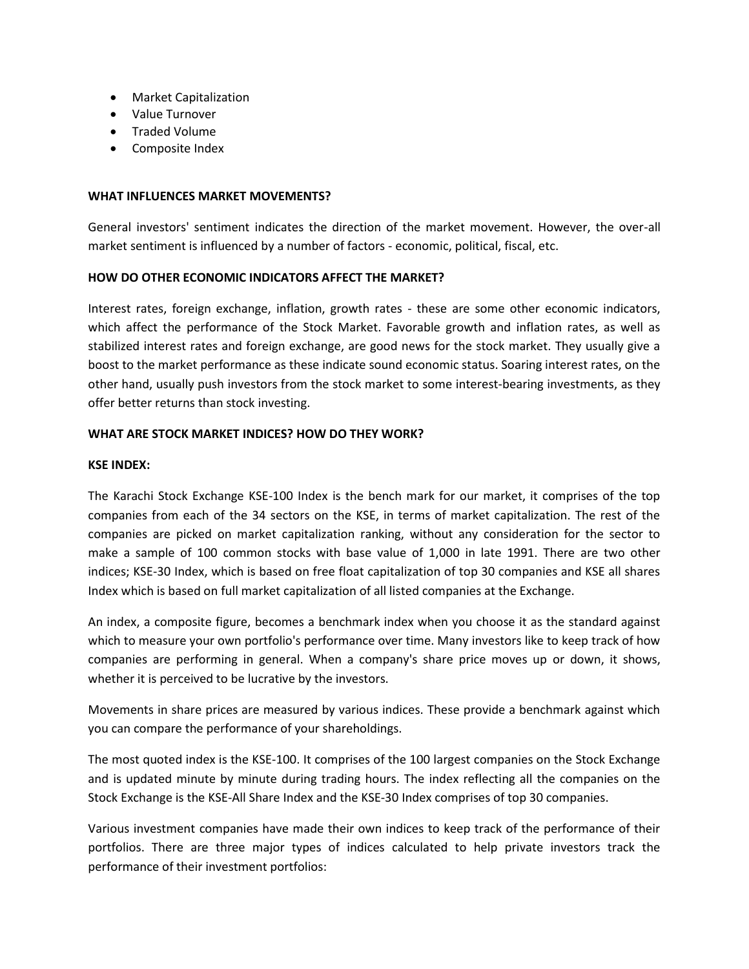- Market Capitalization
- Value Turnover
- Traded Volume
- Composite Index

#### **WHAT INFLUENCES MARKET MOVEMENTS?**

General investors' sentiment indicates the direction of the market movement. However, the over-all market sentiment is influenced by a number of factors - economic, political, fiscal, etc.

#### **HOW DO OTHER ECONOMIC INDICATORS AFFECT THE MARKET?**

Interest rates, foreign exchange, inflation, growth rates - these are some other economic indicators, which affect the performance of the Stock Market. Favorable growth and inflation rates, as well as stabilized interest rates and foreign exchange, are good news for the stock market. They usually give a boost to the market performance as these indicate sound economic status. Soaring interest rates, on the other hand, usually push investors from the stock market to some interest-bearing investments, as they offer better returns than stock investing.

#### **WHAT ARE STOCK MARKET INDICES? HOW DO THEY WORK?**

#### **KSE INDEX:**

The Karachi Stock Exchange KSE-100 Index is the bench mark for our market, it comprises of the top companies from each of the 34 sectors on the KSE, in terms of market capitalization. The rest of the companies are picked on market capitalization ranking, without any consideration for the sector to make a sample of 100 common stocks with base value of 1,000 in late 1991. There are two other indices; KSE-30 Index, which is based on free float capitalization of top 30 companies and KSE all shares Index which is based on full market capitalization of all listed companies at the Exchange.

An index, a composite figure, becomes a benchmark index when you choose it as the standard against which to measure your own portfolio's performance over time. Many investors like to keep track of how companies are performing in general. When a company's share price moves up or down, it shows, whether it is perceived to be lucrative by the investors.

Movements in share prices are measured by various indices. These provide a benchmark against which you can compare the performance of your shareholdings.

The most quoted index is the KSE-100. It comprises of the 100 largest companies on the Stock Exchange and is updated minute by minute during trading hours. The index reflecting all the companies on the Stock Exchange is the KSE-All Share Index and the KSE-30 Index comprises of top 30 companies.

Various investment companies have made their own indices to keep track of the performance of their portfolios. There are three major types of indices calculated to help private investors track the performance of their investment portfolios: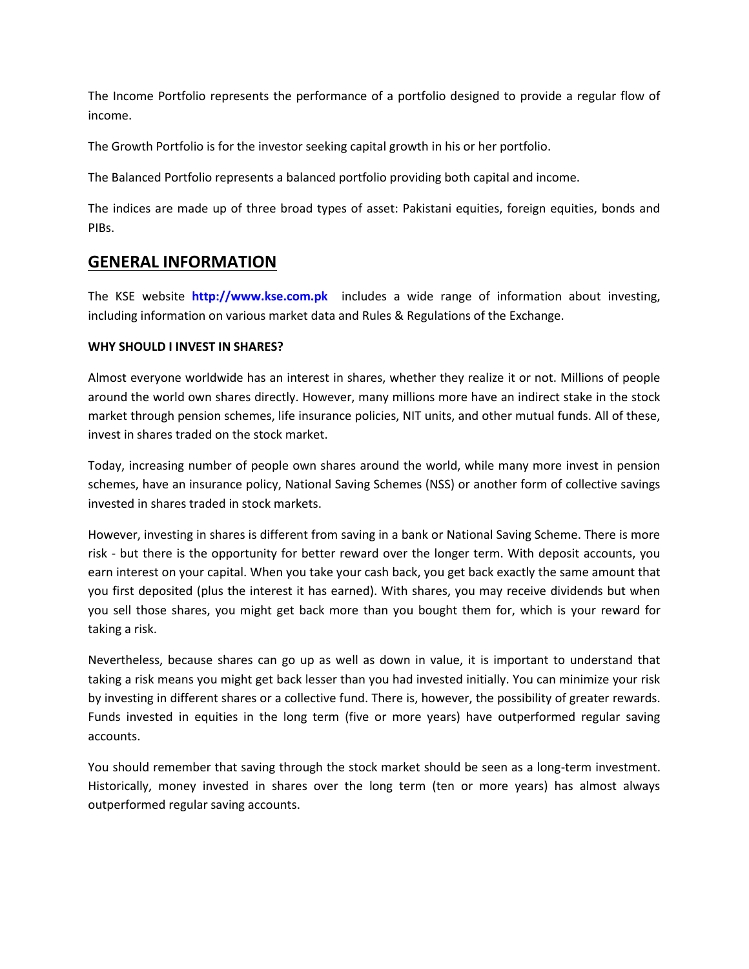The Income Portfolio represents the performance of a portfolio designed to provide a regular flow of income.

The Growth Portfolio is for the investor seeking capital growth in his or her portfolio.

The Balanced Portfolio represents a balanced portfolio providing both capital and income.

The indices are made up of three broad types of asset: Pakistani equities, foreign equities, bonds and PIBs.

## **GENERAL INFORMATION**

The KSE website **[http://www.kse.com.pk](http://www.kse.com.pk/)** includes a wide range of information about investing, including information on various market data and Rules & Regulations of the Exchange.

#### **WHY SHOULD I INVEST IN SHARES?**

Almost everyone worldwide has an interest in shares, whether they realize it or not. Millions of people around the world own shares directly. However, many millions more have an indirect stake in the stock market through pension schemes, life insurance policies, NIT units, and other mutual funds. All of these, invest in shares traded on the stock market.

Today, increasing number of people own shares around the world, while many more invest in pension schemes, have an insurance policy, National Saving Schemes (NSS) or another form of collective savings invested in shares traded in stock markets.

However, investing in shares is different from saving in a bank or National Saving Scheme. There is more risk - but there is the opportunity for better reward over the longer term. With deposit accounts, you earn interest on your capital. When you take your cash back, you get back exactly the same amount that you first deposited (plus the interest it has earned). With shares, you may receive dividends but when you sell those shares, you might get back more than you bought them for, which is your reward for taking a risk.

Nevertheless, because shares can go up as well as down in value, it is important to understand that taking a risk means you might get back lesser than you had invested initially. You can minimize your risk by investing in different shares or a collective fund. There is, however, the possibility of greater rewards. Funds invested in equities in the long term (five or more years) have outperformed regular saving accounts.

You should remember that saving through the stock market should be seen as a long-term investment. Historically, money invested in shares over the long term (ten or more years) has almost always outperformed regular saving accounts.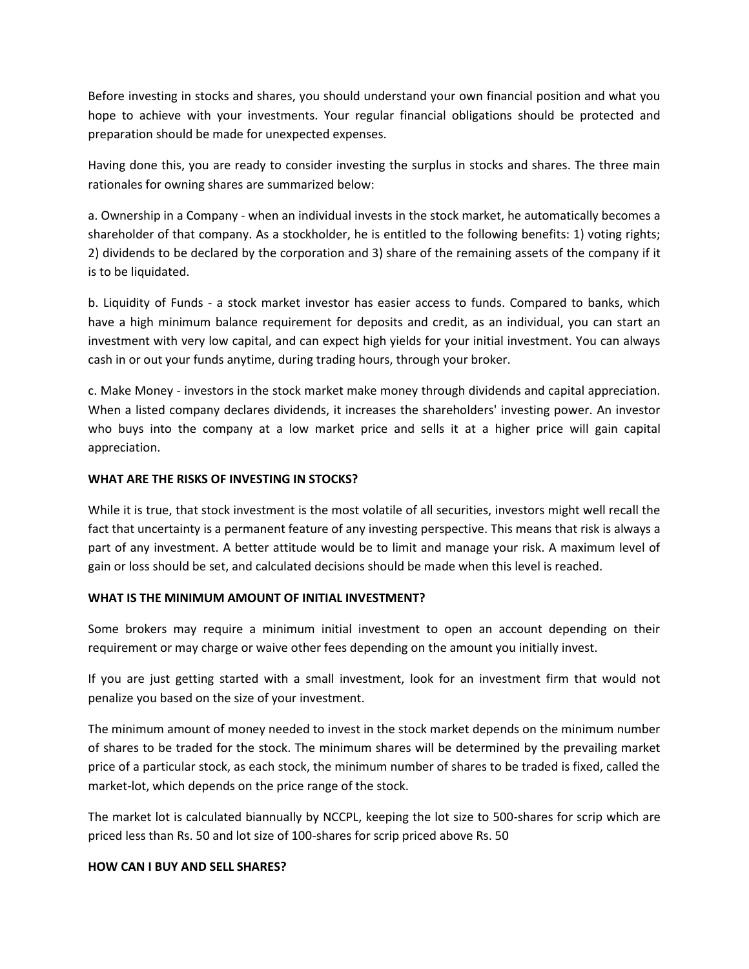Before investing in stocks and shares, you should understand your own financial position and what you hope to achieve with your investments. Your regular financial obligations should be protected and preparation should be made for unexpected expenses.

Having done this, you are ready to consider investing the surplus in stocks and shares. The three main rationales for owning shares are summarized below:

a. Ownership in a Company - when an individual invests in the stock market, he automatically becomes a shareholder of that company. As a stockholder, he is entitled to the following benefits: 1) voting rights; 2) dividends to be declared by the corporation and 3) share of the remaining assets of the company if it is to be liquidated.

b. Liquidity of Funds - a stock market investor has easier access to funds. Compared to banks, which have a high minimum balance requirement for deposits and credit, as an individual, you can start an investment with very low capital, and can expect high yields for your initial investment. You can always cash in or out your funds anytime, during trading hours, through your broker.

c. Make Money - investors in the stock market make money through dividends and capital appreciation. When a listed company declares dividends, it increases the shareholders' investing power. An investor who buys into the company at a low market price and sells it at a higher price will gain capital appreciation.

#### **WHAT ARE THE RISKS OF INVESTING IN STOCKS?**

While it is true, that stock investment is the most volatile of all securities, investors might well recall the fact that uncertainty is a permanent feature of any investing perspective. This means that risk is always a part of any investment. A better attitude would be to limit and manage your risk. A maximum level of gain or loss should be set, and calculated decisions should be made when this level is reached.

#### **WHAT IS THE MINIMUM AMOUNT OF INITIAL INVESTMENT?**

Some brokers may require a minimum initial investment to open an account depending on their requirement or may charge or waive other fees depending on the amount you initially invest.

If you are just getting started with a small investment, look for an investment firm that would not penalize you based on the size of your investment.

The minimum amount of money needed to invest in the stock market depends on the minimum number of shares to be traded for the stock. The minimum shares will be determined by the prevailing market price of a particular stock, as each stock, the minimum number of shares to be traded is fixed, called the market-lot, which depends on the price range of the stock.

The market lot is calculated biannually by NCCPL, keeping the lot size to 500-shares for scrip which are priced less than Rs. 50 and lot size of 100-shares for scrip priced above Rs. 50

#### **HOW CAN I BUY AND SELL SHARES?**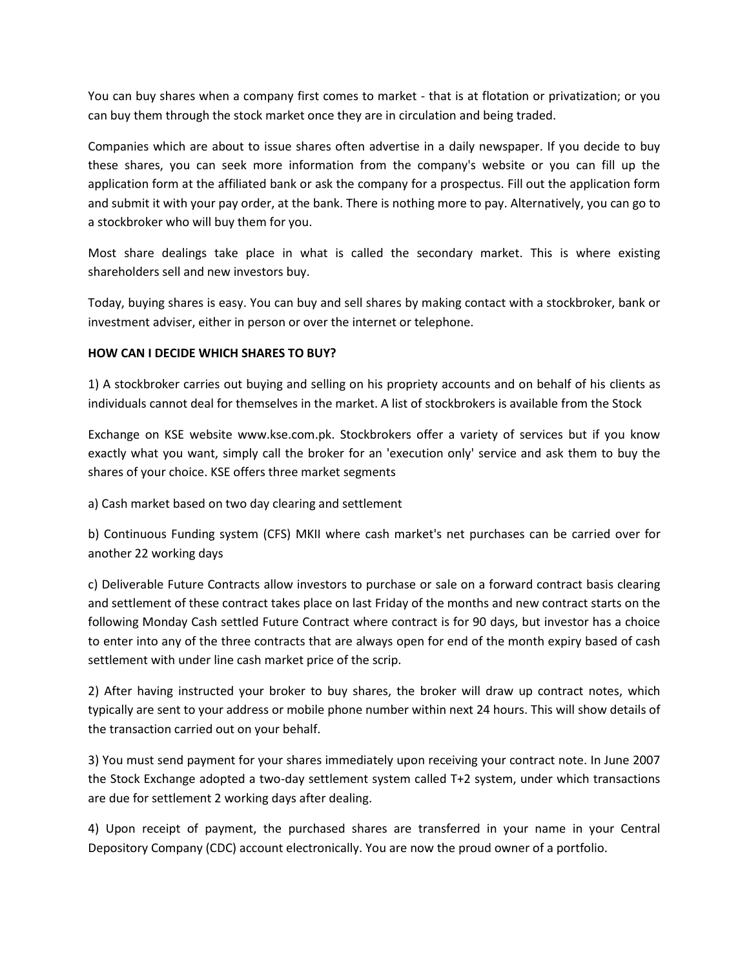You can buy shares when a company first comes to market - that is at flotation or privatization; or you can buy them through the stock market once they are in circulation and being traded.

Companies which are about to issue shares often advertise in a daily newspaper. If you decide to buy these shares, you can seek more information from the company's website or you can fill up the application form at the affiliated bank or ask the company for a prospectus. Fill out the application form and submit it with your pay order, at the bank. There is nothing more to pay. Alternatively, you can go to a stockbroker who will buy them for you.

Most share dealings take place in what is called the secondary market. This is where existing shareholders sell and new investors buy.

Today, buying shares is easy. You can buy and sell shares by making contact with a stockbroker, bank or investment adviser, either in person or over the internet or telephone.

#### **HOW CAN I DECIDE WHICH SHARES TO BUY?**

1) A stockbroker carries out buying and selling on his propriety accounts and on behalf of his clients as individuals cannot deal for themselves in the market. A list of stockbrokers is available from the Stock

Exchange on KSE website www.kse.com.pk. Stockbrokers offer a variety of services but if you know exactly what you want, simply call the broker for an 'execution only' service and ask them to buy the shares of your choice. KSE offers three market segments

a) Cash market based on two day clearing and settlement

b) Continuous Funding system (CFS) MKII where cash market's net purchases can be carried over for another 22 working days

c) Deliverable Future Contracts allow investors to purchase or sale on a forward contract basis clearing and settlement of these contract takes place on last Friday of the months and new contract starts on the following Monday Cash settled Future Contract where contract is for 90 days, but investor has a choice to enter into any of the three contracts that are always open for end of the month expiry based of cash settlement with under line cash market price of the scrip.

2) After having instructed your broker to buy shares, the broker will draw up contract notes, which typically are sent to your address or mobile phone number within next 24 hours. This will show details of the transaction carried out on your behalf.

3) You must send payment for your shares immediately upon receiving your contract note. In June 2007 the Stock Exchange adopted a two-day settlement system called T+2 system, under which transactions are due for settlement 2 working days after dealing.

4) Upon receipt of payment, the purchased shares are transferred in your name in your Central Depository Company (CDC) account electronically. You are now the proud owner of a portfolio.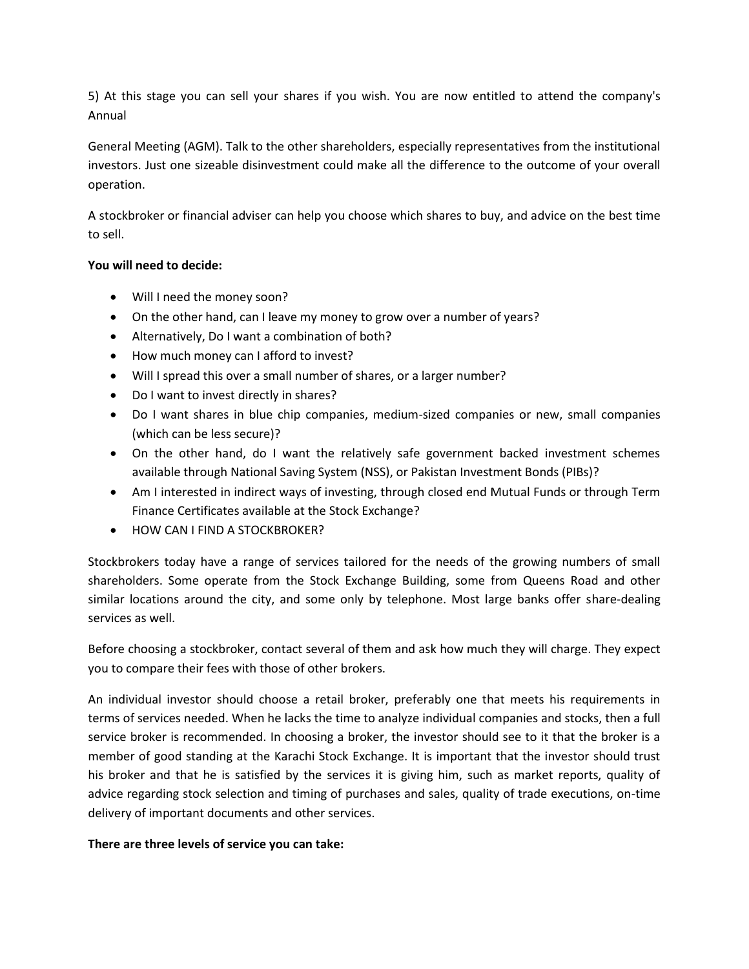5) At this stage you can sell your shares if you wish. You are now entitled to attend the company's Annual

General Meeting (AGM). Talk to the other shareholders, especially representatives from the institutional investors. Just one sizeable disinvestment could make all the difference to the outcome of your overall operation.

A stockbroker or financial adviser can help you choose which shares to buy, and advice on the best time to sell.

#### **You will need to decide:**

- Will I need the money soon?
- On the other hand, can I leave my money to grow over a number of years?
- Alternatively, Do I want a combination of both?
- How much money can I afford to invest?
- Will I spread this over a small number of shares, or a larger number?
- Do I want to invest directly in shares?
- Do I want shares in blue chip companies, medium-sized companies or new, small companies (which can be less secure)?
- On the other hand, do I want the relatively safe government backed investment schemes available through National Saving System (NSS), or Pakistan Investment Bonds (PIBs)?
- Am I interested in indirect ways of investing, through closed end Mutual Funds or through Term Finance Certificates available at the Stock Exchange?
- HOW CAN I FIND A STOCKBROKER?

Stockbrokers today have a range of services tailored for the needs of the growing numbers of small shareholders. Some operate from the Stock Exchange Building, some from Queens Road and other similar locations around the city, and some only by telephone. Most large banks offer share-dealing services as well.

Before choosing a stockbroker, contact several of them and ask how much they will charge. They expect you to compare their fees with those of other brokers.

An individual investor should choose a retail broker, preferably one that meets his requirements in terms of services needed. When he lacks the time to analyze individual companies and stocks, then a full service broker is recommended. In choosing a broker, the investor should see to it that the broker is a member of good standing at the Karachi Stock Exchange. It is important that the investor should trust his broker and that he is satisfied by the services it is giving him, such as market reports, quality of advice regarding stock selection and timing of purchases and sales, quality of trade executions, on-time delivery of important documents and other services.

#### **There are three levels of service you can take:**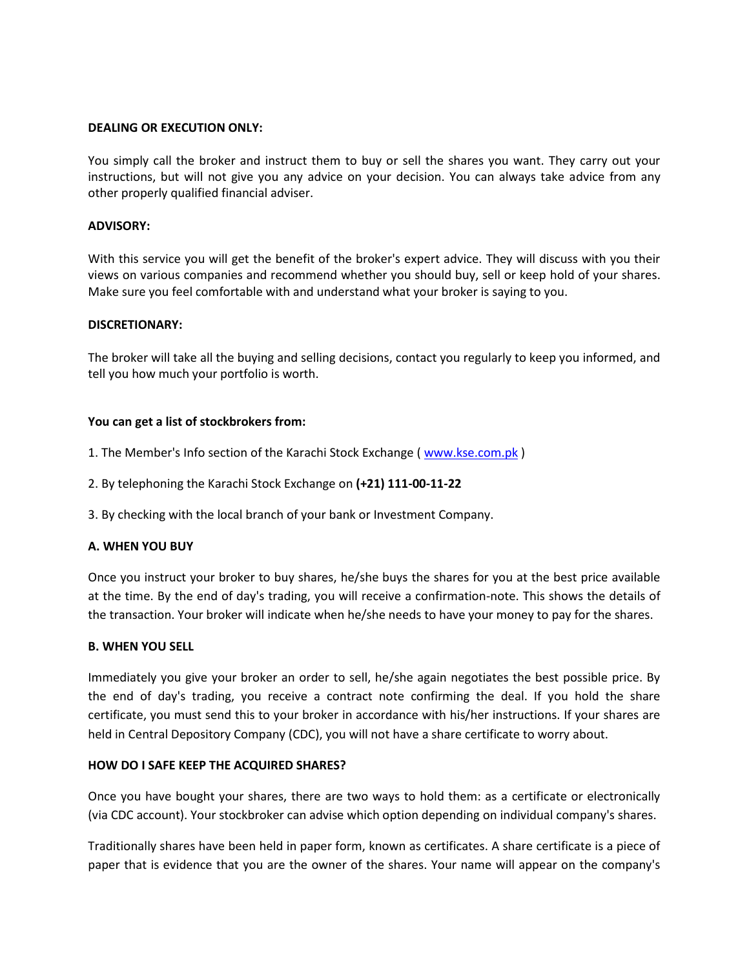#### **DEALING OR EXECUTION ONLY:**

You simply call the broker and instruct them to buy or sell the shares you want. They carry out your instructions, but will not give you any advice on your decision. You can always take advice from any other properly qualified financial adviser.

#### **ADVISORY:**

With this service you will get the benefit of the broker's expert advice. They will discuss with you their views on various companies and recommend whether you should buy, sell or keep hold of your shares. Make sure you feel comfortable with and understand what your broker is saying to you.

#### **DISCRETIONARY:**

The broker will take all the buying and selling decisions, contact you regularly to keep you informed, and tell you how much your portfolio is worth.

#### **You can get a list of stockbrokers from:**

- 1. The Member's Info section of the Karachi Stock Exchange ( [www.kse.com.pk](http://www.kse.com.pk/) )
- 2. By telephoning the Karachi Stock Exchange on **(+21) 111-00-11-22**
- 3. By checking with the local branch of your bank or Investment Company.

#### **A. WHEN YOU BUY**

Once you instruct your broker to buy shares, he/she buys the shares for you at the best price available at the time. By the end of day's trading, you will receive a confirmation-note. This shows the details of the transaction. Your broker will indicate when he/she needs to have your money to pay for the shares.

#### **B. WHEN YOU SELL**

Immediately you give your broker an order to sell, he/she again negotiates the best possible price. By the end of day's trading, you receive a contract note confirming the deal. If you hold the share certificate, you must send this to your broker in accordance with his/her instructions. If your shares are held in Central Depository Company (CDC), you will not have a share certificate to worry about.

#### **HOW DO I SAFE KEEP THE ACQUIRED SHARES?**

Once you have bought your shares, there are two ways to hold them: as a certificate or electronically (via CDC account). Your stockbroker can advise which option depending on individual company's shares.

Traditionally shares have been held in paper form, known as certificates. A share certificate is a piece of paper that is evidence that you are the owner of the shares. Your name will appear on the company's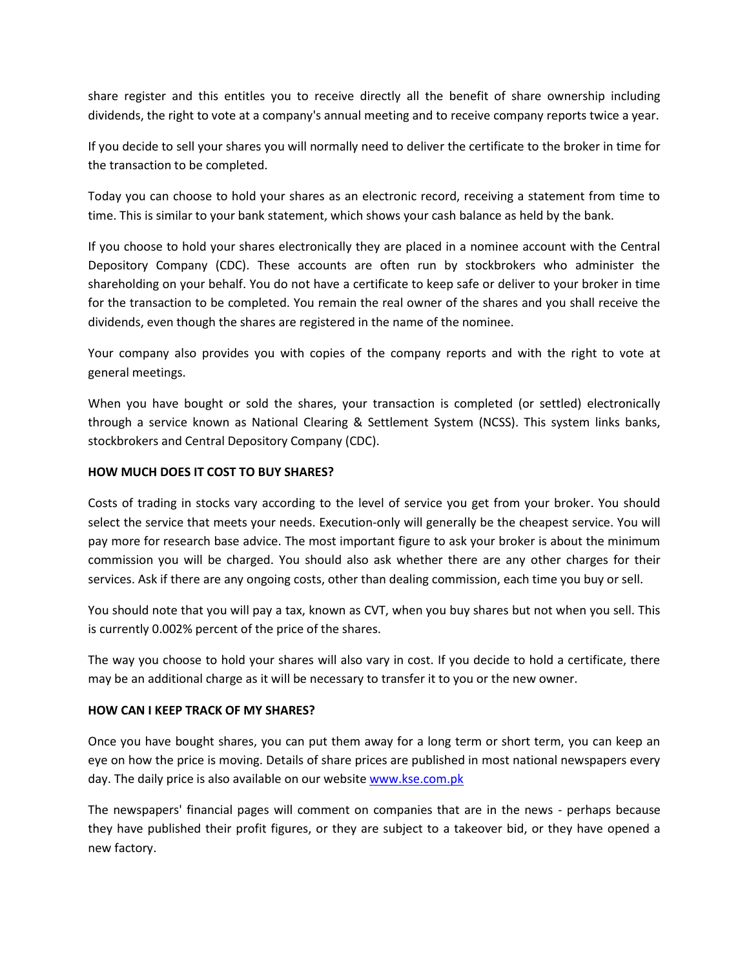share register and this entitles you to receive directly all the benefit of share ownership including dividends, the right to vote at a company's annual meeting and to receive company reports twice a year.

If you decide to sell your shares you will normally need to deliver the certificate to the broker in time for the transaction to be completed.

Today you can choose to hold your shares as an electronic record, receiving a statement from time to time. This is similar to your bank statement, which shows your cash balance as held by the bank.

If you choose to hold your shares electronically they are placed in a nominee account with the Central Depository Company (CDC). These accounts are often run by stockbrokers who administer the shareholding on your behalf. You do not have a certificate to keep safe or deliver to your broker in time for the transaction to be completed. You remain the real owner of the shares and you shall receive the dividends, even though the shares are registered in the name of the nominee.

Your company also provides you with copies of the company reports and with the right to vote at general meetings.

When you have bought or sold the shares, your transaction is completed (or settled) electronically through a service known as National Clearing & Settlement System (NCSS). This system links banks, stockbrokers and Central Depository Company (CDC).

#### **HOW MUCH DOES IT COST TO BUY SHARES?**

Costs of trading in stocks vary according to the level of service you get from your broker. You should select the service that meets your needs. Execution-only will generally be the cheapest service. You will pay more for research base advice. The most important figure to ask your broker is about the minimum commission you will be charged. You should also ask whether there are any other charges for their services. Ask if there are any ongoing costs, other than dealing commission, each time you buy or sell.

You should note that you will pay a tax, known as CVT, when you buy shares but not when you sell. This is currently 0.002% percent of the price of the shares.

The way you choose to hold your shares will also vary in cost. If you decide to hold a certificate, there may be an additional charge as it will be necessary to transfer it to you or the new owner.

#### **HOW CAN I KEEP TRACK OF MY SHARES?**

Once you have bought shares, you can put them away for a long term or short term, you can keep an eye on how the price is moving. Details of share prices are published in most national newspapers every day. The daily price is also available on our website [www.kse.com.pk](http://www.kse.com.pk/)

The newspapers' financial pages will comment on companies that are in the news - perhaps because they have published their profit figures, or they are subject to a takeover bid, or they have opened a new factory.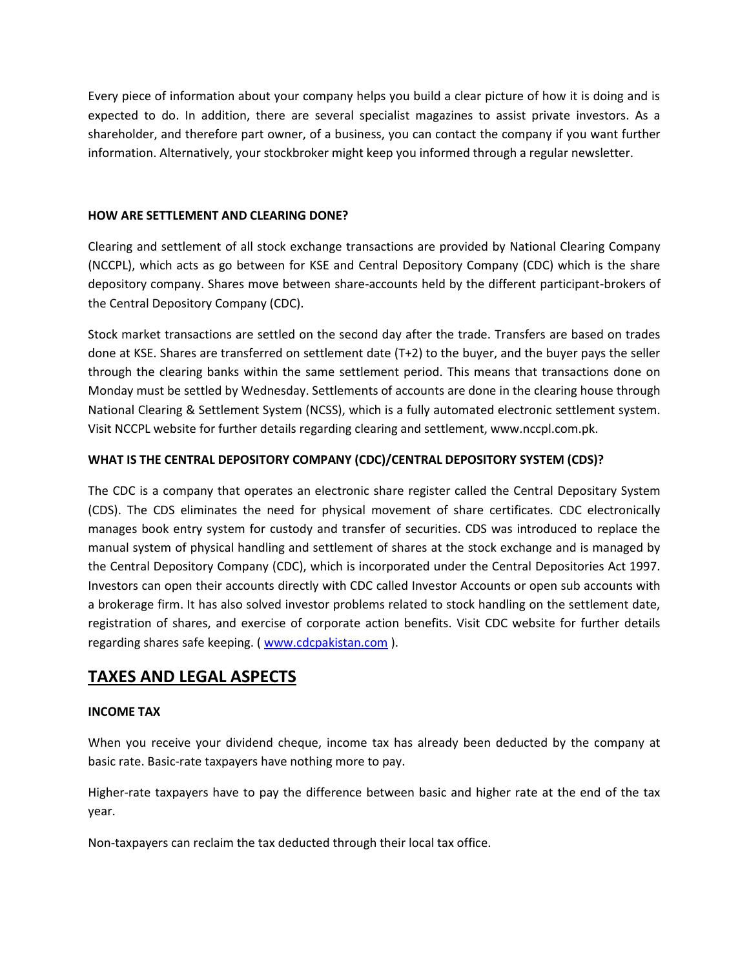Every piece of information about your company helps you build a clear picture of how it is doing and is expected to do. In addition, there are several specialist magazines to assist private investors. As a shareholder, and therefore part owner, of a business, you can contact the company if you want further information. Alternatively, your stockbroker might keep you informed through a regular newsletter.

#### **HOW ARE SETTLEMENT AND CLEARING DONE?**

Clearing and settlement of all stock exchange transactions are provided by National Clearing Company (NCCPL), which acts as go between for KSE and Central Depository Company (CDC) which is the share depository company. Shares move between share-accounts held by the different participant-brokers of the Central Depository Company (CDC).

Stock market transactions are settled on the second day after the trade. Transfers are based on trades done at KSE. Shares are transferred on settlement date (T+2) to the buyer, and the buyer pays the seller through the clearing banks within the same settlement period. This means that transactions done on Monday must be settled by Wednesday. Settlements of accounts are done in the clearing house through National Clearing & Settlement System (NCSS), which is a fully automated electronic settlement system. Visit NCCPL website for further details regarding clearing and settlement, www.nccpl.com.pk.

#### **WHAT IS THE CENTRAL DEPOSITORY COMPANY (CDC)/CENTRAL DEPOSITORY SYSTEM (CDS)?**

The CDC is a company that operates an electronic share register called the Central Depositary System (CDS). The CDS eliminates the need for physical movement of share certificates. CDC electronically manages book entry system for custody and transfer of securities. CDS was introduced to replace the manual system of physical handling and settlement of shares at the stock exchange and is managed by the Central Depository Company (CDC), which is incorporated under the Central Depositories Act 1997. Investors can open their accounts directly with CDC called Investor Accounts or open sub accounts with a brokerage firm. It has also solved investor problems related to stock handling on the settlement date, registration of shares, and exercise of corporate action benefits. Visit CDC website for further details regarding shares safe keeping. ( [www.cdcpakistan.com](http://www.cdcpakistan.com/) ).

## **TAXES AND LEGAL ASPECTS**

#### **INCOME TAX**

When you receive your dividend cheque, income tax has already been deducted by the company at basic rate. Basic-rate taxpayers have nothing more to pay.

Higher-rate taxpayers have to pay the difference between basic and higher rate at the end of the tax year.

Non-taxpayers can reclaim the tax deducted through their local tax office.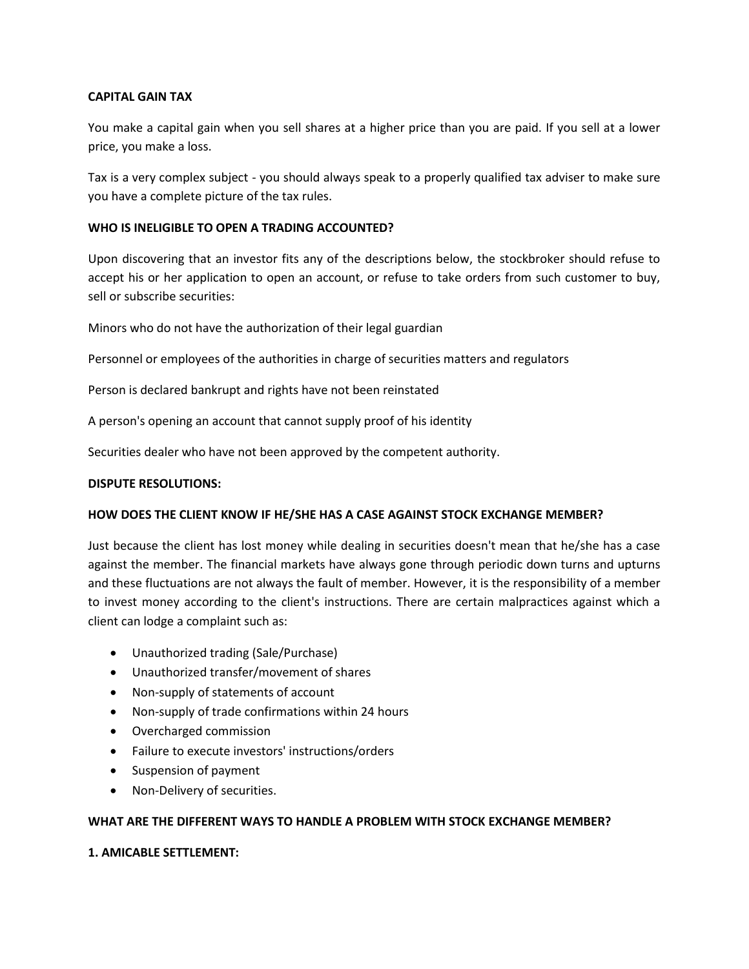#### **CAPITAL GAIN TAX**

You make a capital gain when you sell shares at a higher price than you are paid. If you sell at a lower price, you make a loss.

Tax is a very complex subject - you should always speak to a properly qualified tax adviser to make sure you have a complete picture of the tax rules.

#### **WHO IS INELIGIBLE TO OPEN A TRADING ACCOUNTED?**

Upon discovering that an investor fits any of the descriptions below, the stockbroker should refuse to accept his or her application to open an account, or refuse to take orders from such customer to buy, sell or subscribe securities:

Minors who do not have the authorization of their legal guardian

Personnel or employees of the authorities in charge of securities matters and regulators

Person is declared bankrupt and rights have not been reinstated

A person's opening an account that cannot supply proof of his identity

Securities dealer who have not been approved by the competent authority.

#### **DISPUTE RESOLUTIONS:**

#### **HOW DOES THE CLIENT KNOW IF HE/SHE HAS A CASE AGAINST STOCK EXCHANGE MEMBER?**

Just because the client has lost money while dealing in securities doesn't mean that he/she has a case against the member. The financial markets have always gone through periodic down turns and upturns and these fluctuations are not always the fault of member. However, it is the responsibility of a member to invest money according to the client's instructions. There are certain malpractices against which a client can lodge a complaint such as:

- Unauthorized trading (Sale/Purchase)
- Unauthorized transfer/movement of shares
- Non-supply of statements of account
- Non-supply of trade confirmations within 24 hours
- Overcharged commission
- Failure to execute investors' instructions/orders
- Suspension of payment
- Non-Delivery of securities.

#### **WHAT ARE THE DIFFERENT WAYS TO HANDLE A PROBLEM WITH STOCK EXCHANGE MEMBER?**

#### **1. AMICABLE SETTLEMENT:**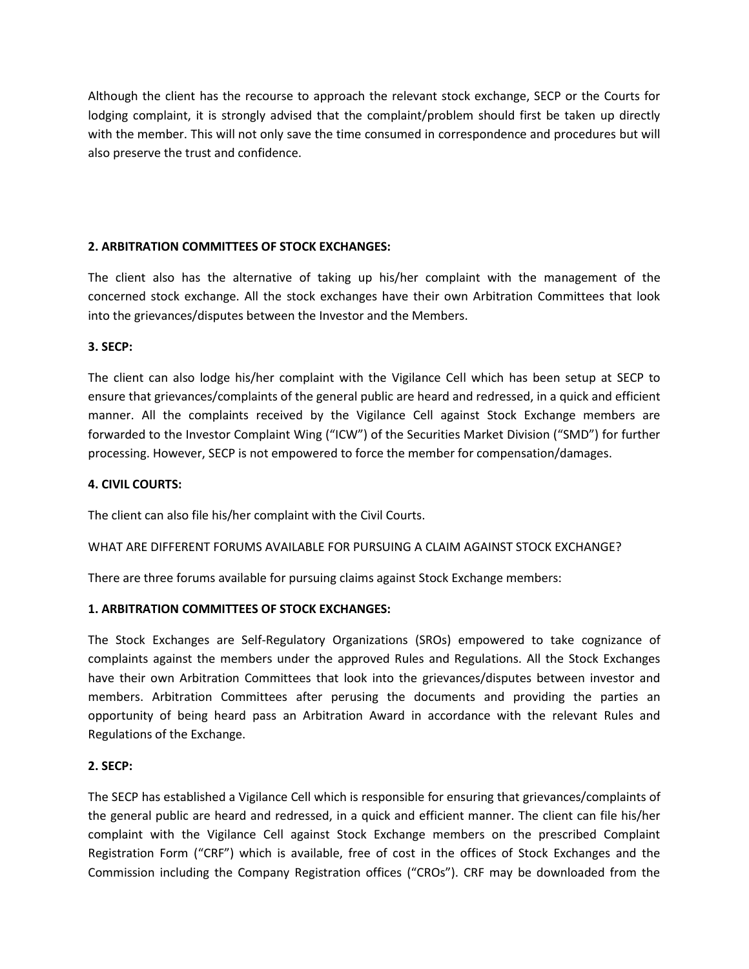Although the client has the recourse to approach the relevant stock exchange, SECP or the Courts for lodging complaint, it is strongly advised that the complaint/problem should first be taken up directly with the member. This will not only save the time consumed in correspondence and procedures but will also preserve the trust and confidence.

#### **2. ARBITRATION COMMITTEES OF STOCK EXCHANGES:**

The client also has the alternative of taking up his/her complaint with the management of the concerned stock exchange. All the stock exchanges have their own Arbitration Committees that look into the grievances/disputes between the Investor and the Members.

#### **3. SECP:**

The client can also lodge his/her complaint with the Vigilance Cell which has been setup at SECP to ensure that grievances/complaints of the general public are heard and redressed, in a quick and efficient manner. All the complaints received by the Vigilance Cell against Stock Exchange members are forwarded to the Investor Complaint Wing ("ICW") of the Securities Market Division ("SMD") for further processing. However, SECP is not empowered to force the member for compensation/damages.

#### **4. CIVIL COURTS:**

The client can also file his/her complaint with the Civil Courts.

#### WHAT ARE DIFFERENT FORUMS AVAILABLE FOR PURSUING A CLAIM AGAINST STOCK EXCHANGE?

There are three forums available for pursuing claims against Stock Exchange members:

#### **1. ARBITRATION COMMITTEES OF STOCK EXCHANGES:**

The Stock Exchanges are Self-Regulatory Organizations (SROs) empowered to take cognizance of complaints against the members under the approved Rules and Regulations. All the Stock Exchanges have their own Arbitration Committees that look into the grievances/disputes between investor and members. Arbitration Committees after perusing the documents and providing the parties an opportunity of being heard pass an Arbitration Award in accordance with the relevant Rules and Regulations of the Exchange.

#### **2. SECP:**

The SECP has established a Vigilance Cell which is responsible for ensuring that grievances/complaints of the general public are heard and redressed, in a quick and efficient manner. The client can file his/her complaint with the Vigilance Cell against Stock Exchange members on the prescribed Complaint Registration Form ("CRF") which is available, free of cost in the offices of Stock Exchanges and the Commission including the Company Registration offices ("CROs"). CRF may be downloaded from the